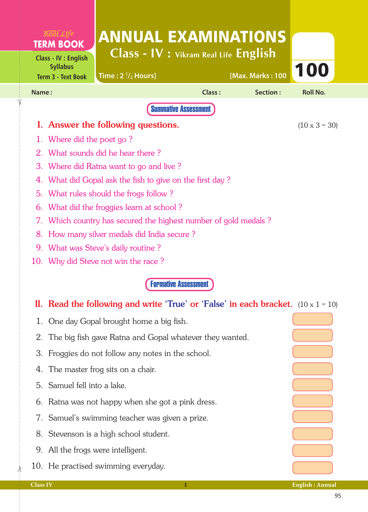|                                                             | $R$ <sup>org</sup> al Life<br><b>TERM BOOK</b>                              | <b>ANNUAL EXAMINATIONS</b>                                                               |                             |                  |                      |  |  |  |
|-------------------------------------------------------------|-----------------------------------------------------------------------------|------------------------------------------------------------------------------------------|-----------------------------|------------------|----------------------|--|--|--|
|                                                             | <b>Class - IV : English</b><br><b>Syllabus</b><br><b>Term 3 - Text Book</b> | Class - IV : Vikram Real Life English<br>Time: $2 \frac{1}{2}$ Hours]                    |                             | [Max. Marks: 100 | 100                  |  |  |  |
| Name:                                                       |                                                                             |                                                                                          | <b>Class:</b>               | Section:         | <b>Roll No.</b>      |  |  |  |
| <b>Summative Assessment</b>                                 |                                                                             |                                                                                          |                             |                  |                      |  |  |  |
|                                                             |                                                                             | I. Answer the following questions.                                                       |                             |                  | $(10 \times 3 = 30)$ |  |  |  |
|                                                             | Where did the poet go?                                                      |                                                                                          |                             |                  |                      |  |  |  |
| $2_{\cdot}$                                                 |                                                                             | What sounds did he hear there?                                                           |                             |                  |                      |  |  |  |
| 3.<br>Where did Ratna want to go and live?                  |                                                                             |                                                                                          |                             |                  |                      |  |  |  |
| What did Gopal ask the fish to give on the first day?<br>4. |                                                                             |                                                                                          |                             |                  |                      |  |  |  |
| 5.                                                          |                                                                             | What rules should the frogs follow?                                                      |                             |                  |                      |  |  |  |
| 6.                                                          |                                                                             | What did the froggies learn at school?                                                   |                             |                  |                      |  |  |  |
| 7.                                                          |                                                                             | Which country has secured the highest number of gold medals?                             |                             |                  |                      |  |  |  |
| 8.                                                          |                                                                             | How many silver medals did India secure?                                                 |                             |                  |                      |  |  |  |
| 9. What was Steve's daily routine?                          |                                                                             |                                                                                          |                             |                  |                      |  |  |  |
|                                                             |                                                                             | 10. Why did Steve not win the race?                                                      |                             |                  |                      |  |  |  |
|                                                             |                                                                             |                                                                                          | <b>Formative Assessment</b> |                  |                      |  |  |  |
|                                                             |                                                                             | II. Read the following and write 'True' or 'False' in each bracket. $(10 \times 1 = 10)$ |                             |                  |                      |  |  |  |
|                                                             |                                                                             | 1. One day Gopal brought home a big fish.                                                |                             |                  |                      |  |  |  |
| 2.                                                          |                                                                             | The big fish gave Ratna and Gopal whatever they wanted.                                  |                             |                  |                      |  |  |  |
| 3.                                                          |                                                                             | Froggies do not follow any notes in the school.                                          |                             |                  |                      |  |  |  |
| 4.                                                          |                                                                             | The master frog sits on a chair.                                                         |                             |                  |                      |  |  |  |
| 5.                                                          | Samuel fell into a lake.                                                    |                                                                                          |                             |                  |                      |  |  |  |
| 6.                                                          |                                                                             | Ratna was not happy when she got a pink dress.                                           |                             |                  |                      |  |  |  |
| 7.                                                          |                                                                             | Samuel's swimming teacher was given a prize.                                             |                             |                  |                      |  |  |  |

- 8. Stevenson is a high school student.
- 9. All the frogs were intelligent.

 $\frac{1}{2}$ 

✁

10. He practised swimming everyday.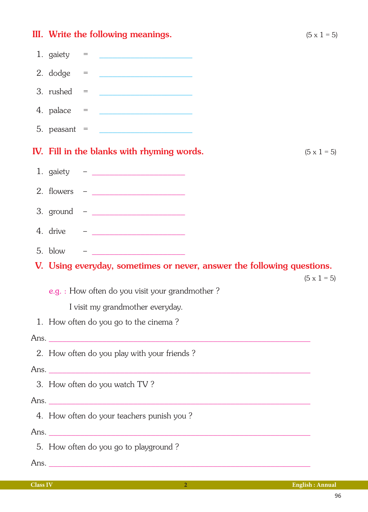|                                                                        | III. Write the following meanings.                                                                                                                                                                                                | $(5 \times 1 = 5)$ |  |  |  |  |
|------------------------------------------------------------------------|-----------------------------------------------------------------------------------------------------------------------------------------------------------------------------------------------------------------------------------|--------------------|--|--|--|--|
|                                                                        | 1. gaiety = $\frac{1}{2}$                                                                                                                                                                                                         |                    |  |  |  |  |
|                                                                        | $2. \text{ dodge} =$                                                                                                                                                                                                              |                    |  |  |  |  |
|                                                                        |                                                                                                                                                                                                                                   |                    |  |  |  |  |
|                                                                        |                                                                                                                                                                                                                                   |                    |  |  |  |  |
|                                                                        | 5. peasant = $\frac{1}{2}$                                                                                                                                                                                                        |                    |  |  |  |  |
|                                                                        | IV. Fill in the blanks with rhyming words.                                                                                                                                                                                        | $(5 \times 1 = 5)$ |  |  |  |  |
|                                                                        |                                                                                                                                                                                                                                   |                    |  |  |  |  |
|                                                                        |                                                                                                                                                                                                                                   |                    |  |  |  |  |
|                                                                        |                                                                                                                                                                                                                                   |                    |  |  |  |  |
|                                                                        |                                                                                                                                                                                                                                   |                    |  |  |  |  |
| 5. blow                                                                | $\frac{1}{2}$ . The contract of the contract of the contract of the contract of the contract of the contract of the contract of the contract of the contract of the contract of the contract of the contract of the contract of t |                    |  |  |  |  |
| V. Using everyday, sometimes or never, answer the following questions. |                                                                                                                                                                                                                                   |                    |  |  |  |  |
| $(5 \times 1 = 5)$<br>e.g. : How often do you visit your grandmother?  |                                                                                                                                                                                                                                   |                    |  |  |  |  |
| I visit my grandmother everyday.                                       |                                                                                                                                                                                                                                   |                    |  |  |  |  |
| 1. How often do you go to the cinema?                                  |                                                                                                                                                                                                                                   |                    |  |  |  |  |
|                                                                        |                                                                                                                                                                                                                                   |                    |  |  |  |  |
| 2. How often do you play with your friends?                            |                                                                                                                                                                                                                                   |                    |  |  |  |  |
|                                                                        |                                                                                                                                                                                                                                   |                    |  |  |  |  |
|                                                                        | 3. How often do you watch TV?                                                                                                                                                                                                     |                    |  |  |  |  |
|                                                                        |                                                                                                                                                                                                                                   |                    |  |  |  |  |
| 4. How often do your teachers punish you?                              |                                                                                                                                                                                                                                   |                    |  |  |  |  |
|                                                                        |                                                                                                                                                                                                                                   |                    |  |  |  |  |
|                                                                        | 5. How often do you go to playground?                                                                                                                                                                                             |                    |  |  |  |  |
|                                                                        |                                                                                                                                                                                                                                   |                    |  |  |  |  |
|                                                                        |                                                                                                                                                                                                                                   |                    |  |  |  |  |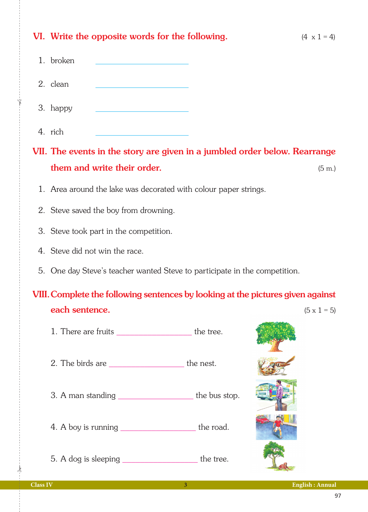| VI. Write the opposite words for the following.                                 |  | $(4 \times 1 = 4)$  |  |  |  |  |
|---------------------------------------------------------------------------------|--|---------------------|--|--|--|--|
| 1. broken                                                                       |  |                     |  |  |  |  |
| 2. clean                                                                        |  |                     |  |  |  |  |
| 3. happy                                                                        |  |                     |  |  |  |  |
| 4. rich                                                                         |  |                     |  |  |  |  |
| VII. The events in the story are given in a jumbled order below. Rearrange      |  |                     |  |  |  |  |
| them and write their order.                                                     |  | $(5 \; \mathrm{m})$ |  |  |  |  |
| 1. Area around the lake was decorated with colour paper strings.                |  |                     |  |  |  |  |
| 2. Steve saved the boy from drowning.                                           |  |                     |  |  |  |  |
| 3. Steve took part in the competition.                                          |  |                     |  |  |  |  |
| 4. Steve did not win the race.                                                  |  |                     |  |  |  |  |
| 5. One day Steve's teacher wanted Steve to participate in the competition.      |  |                     |  |  |  |  |
| VIII. Complete the following sentences by looking at the pictures given against |  |                     |  |  |  |  |
| each sentence.                                                                  |  | $(5 \times 1 = 5)$  |  |  |  |  |
| 1. There are fruits ___________________________the tree.                        |  |                     |  |  |  |  |
|                                                                                 |  |                     |  |  |  |  |
| 3. A man standing ________________________the bus stop.                         |  |                     |  |  |  |  |
| 4. A boy is running ___________________________the road.                        |  |                     |  |  |  |  |
| 5. A dog is sleeping _________________________ the tree.                        |  |                     |  |  |  |  |

✁

✁